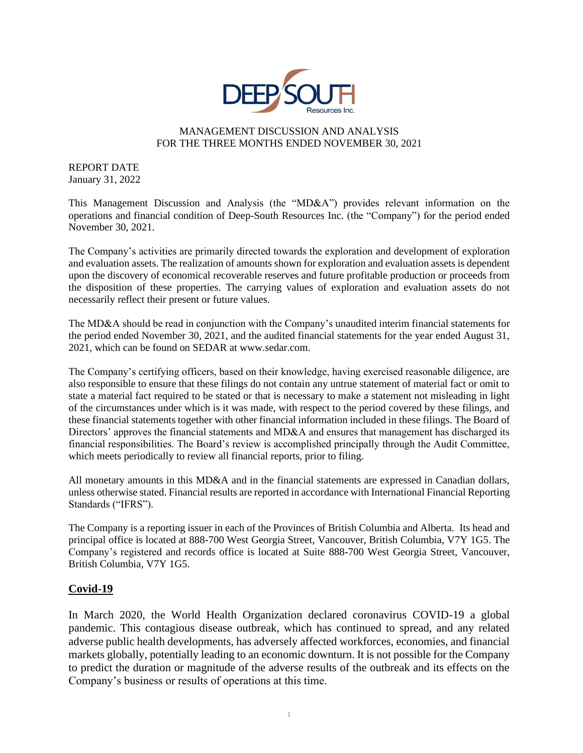

# MANAGEMENT DISCUSSION AND ANALYSIS FOR THE THREE MONTHS ENDED NOVEMBER 30, 2021

REPORT DATE January 31, 2022

This Management Discussion and Analysis (the "MD&A") provides relevant information on the operations and financial condition of Deep-South Resources Inc. (the "Company") for the period ended November 30, 2021.

The Company's activities are primarily directed towards the exploration and development of exploration and evaluation assets. The realization of amounts shown for exploration and evaluation assets is dependent upon the discovery of economical recoverable reserves and future profitable production or proceeds from the disposition of these properties. The carrying values of exploration and evaluation assets do not necessarily reflect their present or future values.

The MD&A should be read in conjunction with the Company's unaudited interim financial statements for the period ended November 30, 2021, and the audited financial statements for the year ended August 31, 2021, which can be found on SEDAR at www.sedar.com.

The Company's certifying officers, based on their knowledge, having exercised reasonable diligence, are also responsible to ensure that these filings do not contain any untrue statement of material fact or omit to state a material fact required to be stated or that is necessary to make a statement not misleading in light of the circumstances under which is it was made, with respect to the period covered by these filings, and these financial statements together with other financial information included in these filings. The Board of Directors' approves the financial statements and MD&A and ensures that management has discharged its financial responsibilities. The Board's review is accomplished principally through the Audit Committee, which meets periodically to review all financial reports, prior to filing.

All monetary amounts in this MD&A and in the financial statements are expressed in Canadian dollars, unless otherwise stated. Financial results are reported in accordance with International Financial Reporting Standards ("IFRS").

The Company is a reporting issuer in each of the Provinces of British Columbia and Alberta. Its head and principal office is located at 888-700 West Georgia Street, Vancouver, British Columbia, V7Y 1G5. The Company's registered and records office is located at Suite 888-700 West Georgia Street, Vancouver, British Columbia, V7Y 1G5.

# **Covid-19**

In March 2020, the World Health Organization declared coronavirus COVID-19 a global pandemic. This contagious disease outbreak, which has continued to spread, and any related adverse public health developments, has adversely affected workforces, economies, and financial markets globally, potentially leading to an economic downturn. It is not possible for the Company to predict the duration or magnitude of the adverse results of the outbreak and its effects on the Company's business or results of operations at this time.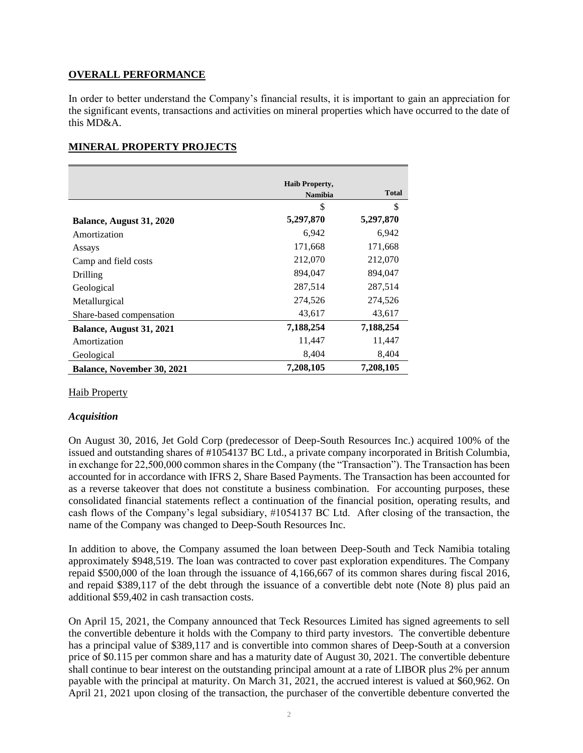# **OVERALL PERFORMANCE**

In order to better understand the Company's financial results, it is important to gain an appreciation for the significant events, transactions and activities on mineral properties which have occurred to the date of this MD&A.

# **MINERAL PROPERTY PROJECTS**

|                                   | <b>Haib Property,</b> |              |
|-----------------------------------|-----------------------|--------------|
|                                   | <b>Namibia</b>        | <b>Total</b> |
|                                   | \$                    | \$           |
| Balance, August 31, 2020          | 5,297,870             | 5,297,870    |
| Amortization                      | 6,942                 | 6,942        |
| Assays                            | 171,668               | 171,668      |
| Camp and field costs              | 212,070               | 212,070      |
| Drilling                          | 894,047               | 894,047      |
| Geological                        | 287,514               | 287,514      |
| Metallurgical                     | 274,526               | 274,526      |
| Share-based compensation          | 43,617                | 43,617       |
| Balance, August 31, 2021          | 7,188,254             | 7,188,254    |
| Amortization                      | 11,447                | 11,447       |
| Geological                        | 8,404                 | 8,404        |
| <b>Balance, November 30, 2021</b> | 7,208,105             | 7,208,105    |

## Haib Property

## *Acquisition*

On August 30, 2016, Jet Gold Corp (predecessor of Deep-South Resources Inc.) acquired 100% of the issued and outstanding shares of #1054137 BC Ltd., a private company incorporated in British Columbia, in exchange for 22,500,000 common shares in the Company (the "Transaction"). The Transaction has been accounted for in accordance with IFRS 2, Share Based Payments. The Transaction has been accounted for as a reverse takeover that does not constitute a business combination. For accounting purposes, these consolidated financial statements reflect a continuation of the financial position, operating results, and cash flows of the Company's legal subsidiary, #1054137 BC Ltd. After closing of the transaction, the name of the Company was changed to Deep-South Resources Inc.

In addition to above, the Company assumed the loan between Deep-South and Teck Namibia totaling approximately \$948,519. The loan was contracted to cover past exploration expenditures. The Company repaid \$500,000 of the loan through the issuance of 4,166,667 of its common shares during fiscal 2016, and repaid \$389,117 of the debt through the issuance of a convertible debt note (Note 8) plus paid an additional \$59,402 in cash transaction costs.

On April 15, 2021, the Company announced that Teck Resources Limited has signed agreements to sell the convertible debenture it holds with the Company to third party investors. The convertible debenture has a principal value of \$389,117 and is convertible into common shares of Deep-South at a conversion price of \$0.115 per common share and has a maturity date of August 30, 2021. The convertible debenture shall continue to bear interest on the outstanding principal amount at a rate of LIBOR plus 2% per annum payable with the principal at maturity. On March 31, 2021, the accrued interest is valued at \$60,962. On April 21, 2021 upon closing of the transaction, the purchaser of the convertible debenture converted the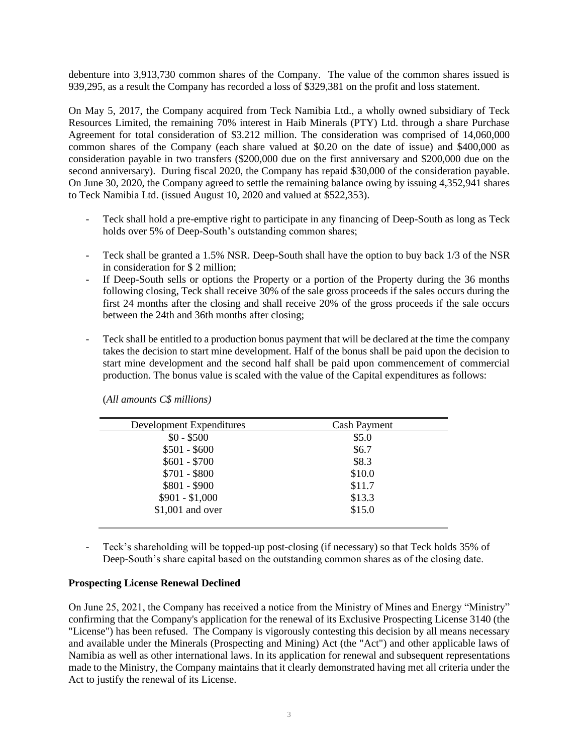debenture into 3,913,730 common shares of the Company. The value of the common shares issued is 939,295, as a result the Company has recorded a loss of \$329,381 on the profit and loss statement.

On May 5, 2017, the Company acquired from Teck Namibia Ltd., a wholly owned subsidiary of Teck Resources Limited, the remaining 70% interest in Haib Minerals (PTY) Ltd. through a share Purchase Agreement for total consideration of \$3.212 million. The consideration was comprised of 14,060,000 common shares of the Company (each share valued at \$0.20 on the date of issue) and \$400,000 as consideration payable in two transfers (\$200,000 due on the first anniversary and \$200,000 due on the second anniversary). During fiscal 2020, the Company has repaid \$30,000 of the consideration payable. On June 30, 2020, the Company agreed to settle the remaining balance owing by issuing 4,352,941 shares to Teck Namibia Ltd. (issued August 10, 2020 and valued at \$522,353).

- Teck shall hold a pre-emptive right to participate in any financing of Deep-South as long as Teck holds over 5% of Deep-South's outstanding common shares;
- Teck shall be granted a 1.5% NSR. Deep-South shall have the option to buy back 1/3 of the NSR in consideration for \$ 2 million;
- If Deep-South sells or options the Property or a portion of the Property during the 36 months following closing, Teck shall receive 30% of the sale gross proceeds if the sales occurs during the first 24 months after the closing and shall receive 20% of the gross proceeds if the sale occurs between the 24th and 36th months after closing;
- Teck shall be entitled to a production bonus payment that will be declared at the time the company takes the decision to start mine development. Half of the bonus shall be paid upon the decision to start mine development and the second half shall be paid upon commencement of commercial production. The bonus value is scaled with the value of the Capital expenditures as follows:

| Development Expenditures | <b>Cash Payment</b> |
|--------------------------|---------------------|
| $$0 - $500$              | \$5.0               |
| $$501 - $600$            | \$6.7               |
| $$601 - $700$            | \$8.3               |
| $$701 - $800$            | \$10.0              |
| $$801 - $900$            | \$11.7              |
| $$901 - $1,000$          | \$13.3              |
| $$1,001$ and over        | \$15.0              |

(*All amounts C\$ millions)*

- Teck's shareholding will be topped-up post-closing (if necessary) so that Teck holds 35% of Deep-South's share capital based on the outstanding common shares as of the closing date.

#### **Prospecting License Renewal Declined**

On June 25, 2021, the Company has received a notice from the Ministry of Mines and Energy "Ministry" confirming that the Company's application for the renewal of its Exclusive Prospecting License 3140 (the "License") has been refused. The Company is vigorously contesting this decision by all means necessary and available under the Minerals (Prospecting and Mining) Act (the "Act") and other applicable laws of Namibia as well as other international laws. In its application for renewal and subsequent representations made to the Ministry, the Company maintains that it clearly demonstrated having met all criteria under the Act to justify the renewal of its License.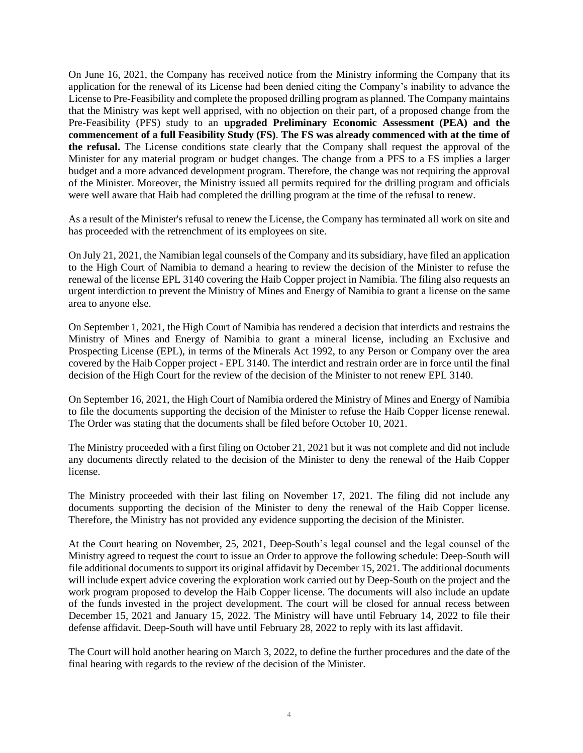On June 16, 2021, the Company has received notice from the Ministry informing the Company that its application for the renewal of its License had been denied citing the Company's inability to advance the License to Pre-Feasibility and complete the proposed drilling program as planned. The Company maintains that the Ministry was kept well apprised, with no objection on their part, of a proposed change from the Pre-Feasibility (PFS) study to an **upgraded Preliminary Economic Assessment (PEA) and the commencement of a full Feasibility Study (FS)**. **The FS was already commenced with at the time of the refusal.** The License conditions state clearly that the Company shall request the approval of the Minister for any material program or budget changes. The change from a PFS to a FS implies a larger budget and a more advanced development program. Therefore, the change was not requiring the approval of the Minister. Moreover, the Ministry issued all permits required for the drilling program and officials were well aware that Haib had completed the drilling program at the time of the refusal to renew.

As a result of the Minister's refusal to renew the License, the Company has terminated all work on site and has proceeded with the retrenchment of its employees on site.

On July 21, 2021, the Namibian legal counsels of the Company and its subsidiary, have filed an application to the High Court of Namibia to demand a hearing to review the decision of the Minister to refuse the renewal of the license EPL 3140 covering the Haib Copper project in Namibia. The filing also requests an urgent interdiction to prevent the Ministry of Mines and Energy of Namibia to grant a license on the same area to anyone else.

On September 1, 2021, the High Court of Namibia has rendered a decision that interdicts and restrains the Ministry of Mines and Energy of Namibia to grant a mineral license, including an Exclusive and Prospecting License (EPL), in terms of the Minerals Act 1992, to any Person or Company over the area covered by the Haib Copper project - EPL 3140. The interdict and restrain order are in force until the final decision of the High Court for the review of the decision of the Minister to not renew EPL 3140.

On September 16, 2021, the High Court of Namibia ordered the Ministry of Mines and Energy of Namibia to file the documents supporting the decision of the Minister to refuse the Haib Copper license renewal. The Order was stating that the documents shall be filed before October 10, 2021.

The Ministry proceeded with a first filing on October 21, 2021 but it was not complete and did not include any documents directly related to the decision of the Minister to deny the renewal of the Haib Copper license.

The Ministry proceeded with their last filing on November 17, 2021. The filing did not include any documents supporting the decision of the Minister to deny the renewal of the Haib Copper license. Therefore, the Ministry has not provided any evidence supporting the decision of the Minister.

At the Court hearing on November, 25, 2021, Deep-South's legal counsel and the legal counsel of the Ministry agreed to request the court to issue an Order to approve the following schedule: Deep-South will file additional documents to support its original affidavit by December 15, 2021. The additional documents will include expert advice covering the exploration work carried out by Deep-South on the project and the work program proposed to develop the Haib Copper license. The documents will also include an update of the funds invested in the project development. The court will be closed for annual recess between December 15, 2021 and January 15, 2022. The Ministry will have until February 14, 2022 to file their defense affidavit. Deep-South will have until February 28, 2022 to reply with its last affidavit.

The Court will hold another hearing on March 3, 2022, to define the further procedures and the date of the final hearing with regards to the review of the decision of the Minister.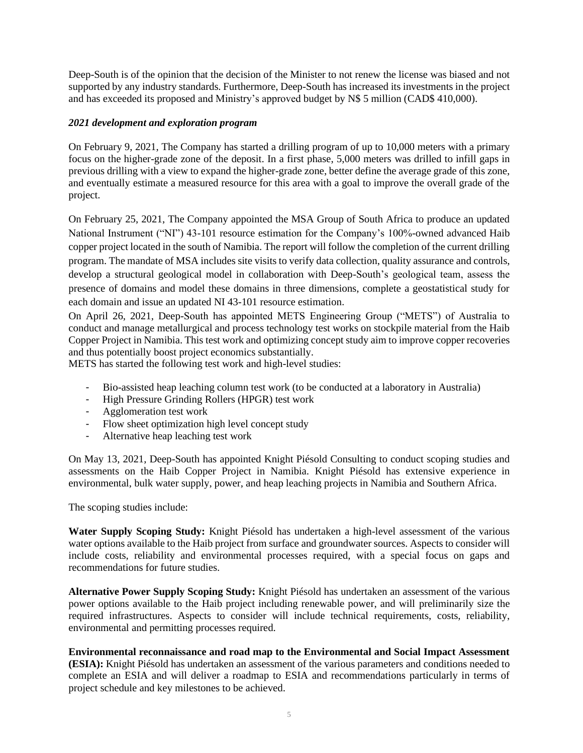Deep-South is of the opinion that the decision of the Minister to not renew the license was biased and not supported by any industry standards. Furthermore, Deep-South has increased its investments in the project and has exceeded its proposed and Ministry's approved budget by N\$ 5 million (CAD\$ 410,000).

# *2021 development and exploration program*

On February 9, 2021, The Company has started a drilling program of up to 10,000 meters with a primary focus on the higher-grade zone of the deposit. In a first phase, 5,000 meters was drilled to infill gaps in previous drilling with a view to expand the higher-grade zone, better define the average grade of this zone, and eventually estimate a measured resource for this area with a goal to improve the overall grade of the project.

On February 25, 2021, The Company appointed the MSA Group of South Africa to produce an updated National Instrument ("NI") 43-101 resource estimation for the Company's 100%-owned advanced Haib copper project located in the south of Namibia. The report will follow the completion of the current drilling program. The mandate of MSA includes site visits to verify data collection, quality assurance and controls, develop a structural geological model in collaboration with Deep-South's geological team, assess the presence of domains and model these domains in three dimensions, complete a geostatistical study for each domain and issue an updated NI 43-101 resource estimation.

On April 26, 2021, Deep-South has appointed METS Engineering Group ("METS") of Australia to conduct and manage metallurgical and process technology test works on stockpile material from the Haib Copper Project in Namibia. This test work and optimizing concept study aim to improve copper recoveries and thus potentially boost project economics substantially.

METS has started the following test work and high-level studies:

- Bio-assisted heap leaching column test work (to be conducted at a laboratory in Australia)
- High Pressure Grinding Rollers (HPGR) test work
- Agglomeration test work
- Flow sheet optimization high level concept study
- Alternative heap leaching test work

On May 13, 2021, Deep-South has appointed Knight Piésold Consulting to conduct scoping studies and assessments on the Haib Copper Project in Namibia. Knight Piésold has extensive experience in environmental, bulk water supply, power, and heap leaching projects in Namibia and Southern Africa.

The scoping studies include:

**Water Supply Scoping Study:** Knight Piésold has undertaken a high-level assessment of the various water options available to the Haib project from surface and groundwater sources. Aspects to consider will include costs, reliability and environmental processes required, with a special focus on gaps and recommendations for future studies.

**Alternative Power Supply Scoping Study:** Knight Piésold has undertaken an assessment of the various power options available to the Haib project including renewable power, and will preliminarily size the required infrastructures. Aspects to consider will include technical requirements, costs, reliability, environmental and permitting processes required.

**Environmental reconnaissance and road map to the Environmental and Social Impact Assessment (ESIA):** Knight Piésold has undertaken an assessment of the various parameters and conditions needed to complete an ESIA and will deliver a roadmap to ESIA and recommendations particularly in terms of project schedule and key milestones to be achieved.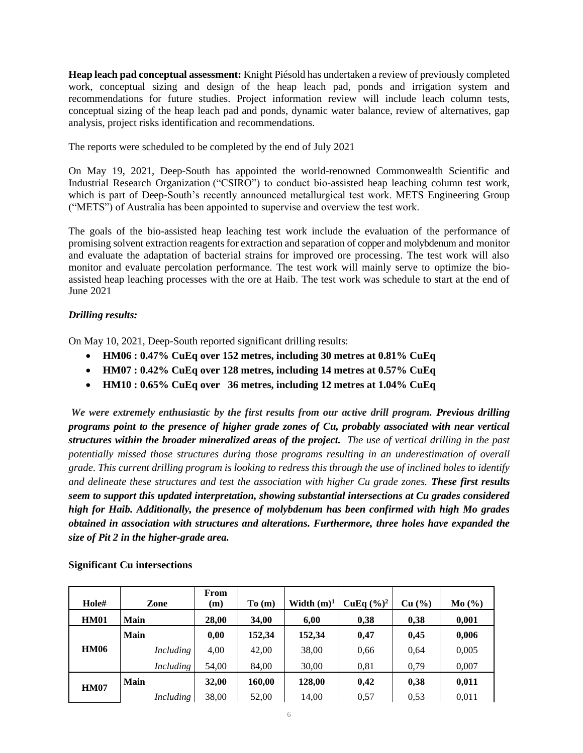**Heap leach pad conceptual assessment:** Knight Piésold has undertaken a review of previously completed work, conceptual sizing and design of the heap leach pad, ponds and irrigation system and recommendations for future studies. Project information review will include leach column tests, conceptual sizing of the heap leach pad and ponds, dynamic water balance, review of alternatives, gap analysis, project risks identification and recommendations.

The reports were scheduled to be completed by the end of July 2021

On May 19, 2021, Deep-South has appointed the world-renowned Commonwealth Scientific and Industrial Research Organization ("CSIRO") to conduct bio-assisted heap leaching column test work, which is part of Deep-South's recently announced metallurgical test work. METS Engineering Group ("METS") of Australia has been appointed to supervise and overview the test work.

The goals of the bio-assisted heap leaching test work include the evaluation of the performance of promising solvent extraction reagentsfor extraction and separation of copper and molybdenum and monitor and evaluate the adaptation of bacterial strains for improved ore processing. The test work will also monitor and evaluate percolation performance. The test work will mainly serve to optimize the bioassisted heap leaching processes with the ore at Haib. The test work was schedule to start at the end of June 2021

# *Drilling results:*

On May 10, 2021, Deep-South reported significant drilling results:

- **HM06 : 0.47% CuEq over 152 metres, including 30 metres at 0.81% CuEq**
- **HM07 : 0.42% CuEq over 128 metres, including 14 metres at 0.57% CuEq**
- **HM10 : 0.65% CuEq over 36 metres, including 12 metres at 1.04% CuEq**

*We were extremely enthusiastic by the first results from our active drill program. Previous drilling programs point to the presence of higher grade zones of Cu, probably associated with near vertical structures within the broader mineralized areas of the project. The use of vertical drilling in the past potentially missed those structures during those programs resulting in an underestimation of overall grade. This current drilling program is looking to redress this through the use of inclined holes to identify and delineate these structures and test the association with higher Cu grade zones. These first results seem to support this updated interpretation, showing substantial intersections at Cu grades considered high for Haib. Additionally, the presence of molybdenum has been confirmed with high Mo grades obtained in association with structures and alterations. Furthermore, three holes have expanded the size of Pit 2 in the higher-grade area.*

| Hole#       | Zone             | From<br>(m) | To(m)  | Width $(m)^1$ | <b>CuEq</b> $(\frac{9}{6})^2$ | Cu (%) | Mo(%) |
|-------------|------------------|-------------|--------|---------------|-------------------------------|--------|-------|
| <b>HM01</b> | Main             | 28,00       | 34,00  | 6,00          | 0,38                          | 0,38   | 0,001 |
|             | Main             | 0,00        | 152,34 | 152,34        | 0,47                          | 0,45   | 0,006 |
| <b>HM06</b> | Including        | 4,00        | 42,00  | 38,00         | 0,66                          | 0.64   | 0,005 |
|             | <i>Including</i> | 54,00       | 84,00  | 30,00         | 0.81                          | 0,79   | 0,007 |
| <b>HM07</b> | Main             | 32,00       | 160,00 | 128,00        | 0,42                          | 0,38   | 0,011 |
|             | Including        | 38,00       | 52,00  | 14,00         | 0.57                          | 0.53   | 0,011 |

**Significant Cu intersections**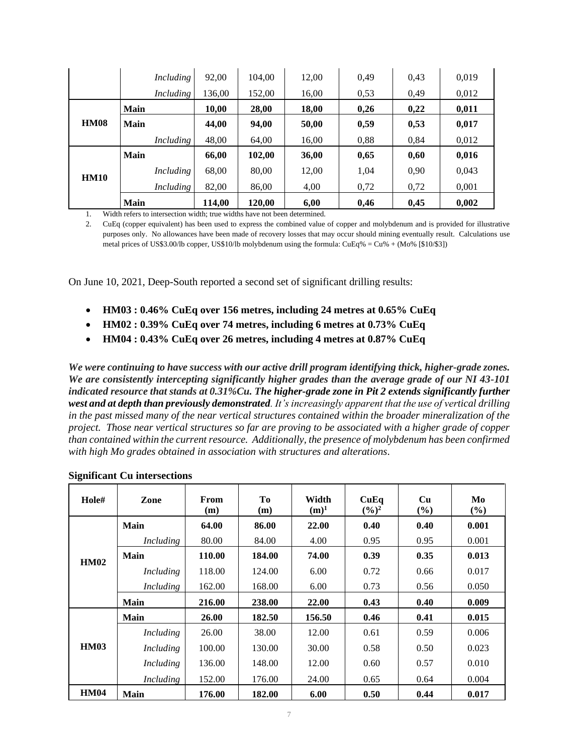|             | Including        | 92,00  | 104,00 | 12,00 | 0,49 | 0,43 | 0,019 |
|-------------|------------------|--------|--------|-------|------|------|-------|
|             | Including        | 136,00 | 152,00 | 16,00 | 0,53 | 0.49 | 0,012 |
|             | Main             | 10,00  | 28,00  | 18,00 | 0,26 | 0,22 | 0,011 |
| <b>HM08</b> | <b>Main</b>      | 44,00  | 94,00  | 50,00 | 0,59 | 0,53 | 0,017 |
|             | <i>Including</i> | 48,00  | 64,00  | 16,00 | 0,88 | 0.84 | 0,012 |
|             | <b>Main</b>      | 66,00  | 102,00 | 36,00 | 0,65 | 0,60 | 0,016 |
| <b>HM10</b> | Including        | 68,00  | 80,00  | 12,00 | 1,04 | 0,90 | 0,043 |
|             | Including        | 82,00  | 86,00  | 4,00  | 0,72 | 0,72 | 0,001 |
|             | <b>Main</b>      | 114,00 | 120,00 | 6,00  | 0,46 | 0,45 | 0,002 |

1. Width refers to intersection width; true widths have not been determined.

2. CuEq (copper equivalent) has been used to express the combined value of copper and molybdenum and is provided for illustrative purposes only. No allowances have been made of recovery losses that may occur should mining eventually result. Calculations use metal prices of US\$3.00/lb copper, US\$10/lb molybdenum using the formula: CuEq% = Cu% + (Mo% [\$10/\$3])

On June 10, 2021, Deep-South reported a second set of significant drilling results:

- **HM03 : 0.46% CuEq over 156 metres, including 24 metres at 0.65% CuEq**
- **HM02 : 0.39% CuEq over 74 metres, including 6 metres at 0.73% CuEq**
- **HM04 : 0.43% CuEq over 26 metres, including 4 metres at 0.87% CuEq**

*We were continuing to have success with our active drill program identifying thick, higher-grade zones. We are consistently intercepting significantly higher grades than the average grade of our NI 43-101 indicated resource that stands at 0.31%Cu. The higher-grade zone in Pit 2 extends significantly further west and at depth than previously demonstrated. It's increasingly apparent that the use of vertical drilling in the past missed many of the near vertical structures contained within the broader mineralization of the project. Those near vertical structures so far are proving to be associated with a higher grade of copper than contained within the current resource. Additionally, the presence of molybdenum has been confirmed with high Mo grades obtained in association with structures and alterations.*

| Hole#       | Zone             | From<br>(m) | Tо<br>(m) | Width<br>$(m)^1$ | CuEq<br>$(\frac{6}{9})^2$ | Cu<br>$(\%)$ | Mo<br>(%) |
|-------------|------------------|-------------|-----------|------------------|---------------------------|--------------|-----------|
|             | Main             | 64.00       | 86.00     | 22.00            | 0.40                      | 0.40         | 0.001     |
|             | Including        | 80.00       | 84.00     | 4.00             | 0.95                      | 0.95         | 0.001     |
| <b>HM02</b> | Main             | 110.00      | 184.00    | 74.00            | 0.39                      | 0.35         | 0.013     |
|             | <i>Including</i> | 118.00      | 124.00    | 6.00             | 0.72                      | 0.66         | 0.017     |
|             | <b>Including</b> | 162.00      | 168.00    | 6.00             | 0.73                      | 0.56         | 0.050     |
|             | Main             | 216.00      | 238.00    | 22.00            | 0.43                      | 0.40         | 0.009     |
|             | Main             | 26.00       | 182.50    | 156.50           | 0.46                      | 0.41         | 0.015     |
|             | Including        | 26.00       | 38.00     | 12.00            | 0.61                      | 0.59         | 0.006     |
| <b>HM03</b> | Including        | 100.00      | 130.00    | 30.00            | 0.58                      | 0.50         | 0.023     |
|             | Including        | 136.00      | 148.00    | 12.00            | 0.60                      | 0.57         | 0.010     |
|             | <b>Including</b> | 152.00      | 176.00    | 24.00            | 0.65                      | 0.64         | 0.004     |
| <b>HM04</b> | <b>Main</b>      | 176.00      | 182.00    | 6.00             | 0.50                      | 0.44         | 0.017     |

#### **Significant Cu intersections**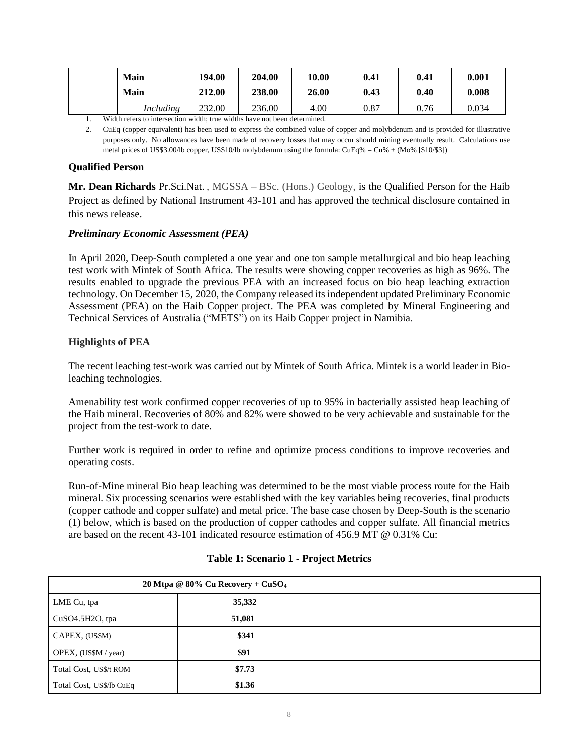| <b>Main</b> | 194.00 | 204.00 | 10.00 | 0.41 | 0.41 | 0.001 |
|-------------|--------|--------|-------|------|------|-------|
| <b>Main</b> | 212.00 | 238.00 | 26.00 | 0.43 | 0.40 | 0.008 |
| Including   | 232.00 | 236.00 | 4.00  | 0.87 | 0.76 | 0.034 |

1. Width refers to intersection width; true widths have not been determined.

2. CuEq (copper equivalent) has been used to express the combined value of copper and molybdenum and is provided for illustrative purposes only. No allowances have been made of recovery losses that may occur should mining eventually result. Calculations use metal prices of US\$3.00/lb copper, US\$10/lb molybdenum using the formula:  $CuEq% = Cu% + (Mo% [$10/$3])$ 

# **Qualified Person**

**Mr. Dean Richards** Pr.Sci.Nat. , MGSSA – BSc. (Hons.) Geology, is the Qualified Person for the Haib Project as defined by National Instrument 43-101 and has approved the technical disclosure contained in this news release.

## *Preliminary Economic Assessment (PEA)*

In April 2020, Deep-South completed a one year and one ton sample metallurgical and bio heap leaching test work with Mintek of South Africa. The results were showing copper recoveries as high as 96%. The results enabled to upgrade the previous PEA with an increased focus on bio heap leaching extraction technology. On December 15, 2020, the Company released its independent updated Preliminary Economic Assessment (PEA) on the Haib Copper project. The PEA was completed by Mineral Engineering and Technical Services of Australia ("METS") on its Haib Copper project in Namibia.

# **Highlights of PEA**

The recent leaching test-work was carried out by Mintek of South Africa. Mintek is a world leader in Bioleaching technologies.

Amenability test work confirmed copper recoveries of up to 95% in bacterially assisted heap leaching of the Haib mineral. Recoveries of 80% and 82% were showed to be very achievable and sustainable for the project from the test-work to date.

Further work is required in order to refine and optimize process conditions to improve recoveries and operating costs.

Run-of-Mine mineral Bio heap leaching was determined to be the most viable process route for the Haib mineral. Six processing scenarios were established with the key variables being recoveries, final products (copper cathode and copper sulfate) and metal price. The base case chosen by Deep-South is the scenario (1) below, which is based on the production of copper cathodes and copper sulfate. All financial metrics are based on the recent 43-101 indicated resource estimation of 456.9 MT @ 0.31% Cu:

| 20 Mtpa @ 80% Cu Recovery + $CuSO4$ |        |  |  |
|-------------------------------------|--------|--|--|
| LME Cu, tpa                         | 35,332 |  |  |
| CuSO4.5H2O, tpa                     | 51,081 |  |  |
| CAPEX, (US\$M)                      | \$341  |  |  |
| OPEX, (US\$M / year)                | \$91   |  |  |
| Total Cost, US\$/t ROM              | \$7.73 |  |  |
| Total Cost, US\$/lb CuEq            | \$1.36 |  |  |

## **Table 1: Scenario 1 - Project Metrics**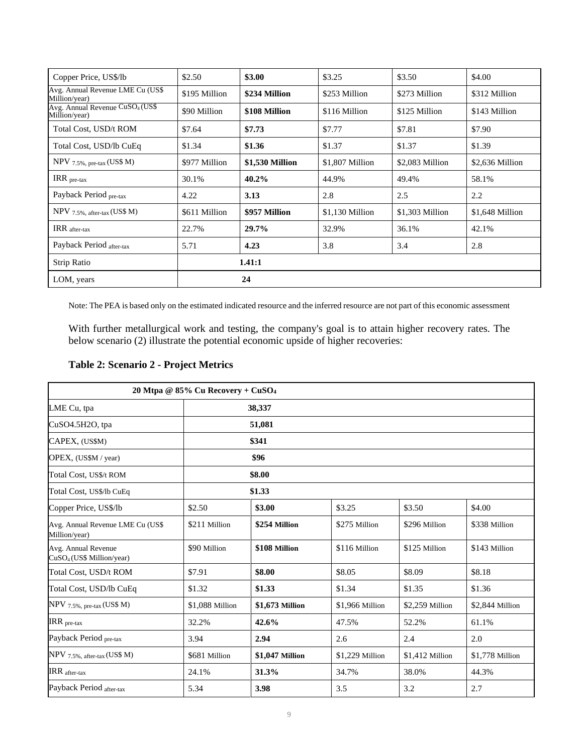| Copper Price, US\$/lb                                        | \$2.50        | \$3.00          | \$3.25          | \$3.50          | \$4.00          |
|--------------------------------------------------------------|---------------|-----------------|-----------------|-----------------|-----------------|
| Avg. Annual Revenue LME Cu (US\$<br>Million/year)            | \$195 Million | \$234 Million   | \$253 Million   | \$273 Million   | \$312 Million   |
| Avg. Annual Revenue CuSO <sub>4</sub> (US\$<br>Million/year) | \$90 Million  | \$108 Million   | \$116 Million   | \$125 Million   | \$143 Million   |
| Total Cost, USD/t ROM                                        | \$7.64        | \$7.73          | \$7.77          | \$7.81          | \$7.90          |
| Total Cost, USD/lb CuEq                                      | \$1.34        | \$1.36          | \$1.37          | \$1.37          | \$1.39          |
| $NPV$ 7.5%, pre-tax (US\$ M)                                 | \$977 Million | \$1,530 Million | \$1,807 Million | \$2,083 Million | \$2,636 Million |
| IRR pre-tax                                                  | 30.1%         | $40.2\%$        | 44.9%           | 49.4%           | 58.1%           |
| Payback Period pre-tax                                       | 4.22          | 3.13            | 2.8             | 2.5             | 2.2             |
| NPV 7.5%, after-tax (US\$ M)                                 | \$611 Million | \$957 Million   | \$1,130 Million | \$1,303 Million | \$1,648 Million |
| IRR after-tax                                                | 22.7%         | 29.7%           | 32.9%           | 36.1%           | 42.1%           |
| Payback Period after-tax                                     | 5.71          | 4.23            | 3.8             | 3.4             | 2.8             |
| Strip Ratio                                                  |               | 1.41:1          |                 |                 |                 |
| LOM, years                                                   |               | 24              |                 |                 |                 |

Note: The PEA is based only on the estimated indicated resource and the inferred resource are not part of this economic assessment

With further metallurgical work and testing, the company's goal is to attain higher recovery rates. The below scenario (2) illustrate the potential economic upside of higher recoveries:

| <b>Table 2: Scenario 2 - Project Metrics</b> |
|----------------------------------------------|
|----------------------------------------------|

|                                                              | 20 Mtpa @ 85% Cu Recovery + CuSO <sub>4</sub> |                 |                 |                  |                  |  |
|--------------------------------------------------------------|-----------------------------------------------|-----------------|-----------------|------------------|------------------|--|
| LME Cu, tpa                                                  | 38,337                                        |                 |                 |                  |                  |  |
| CuSO4.5H2O, tpa                                              | 51,081                                        |                 |                 |                  |                  |  |
| CAPEX, (US\$M)                                               |                                               | \$341           |                 |                  |                  |  |
| OPEX, (US\$M / year)                                         |                                               | \$96            |                 |                  |                  |  |
| Total Cost, US\$/t ROM                                       |                                               | \$8.00          |                 |                  |                  |  |
| Total Cost, US\$/lb CuEq                                     | \$1.33                                        |                 |                 |                  |                  |  |
| Copper Price, US\$/lb                                        | \$2.50                                        | \$3.00          | \$3.25          | \$3.50           | \$4.00           |  |
| Avg. Annual Revenue LME Cu (US\$<br>Million/year)            | \$211 Million                                 | \$254 Million   | \$275 Million   | \$296 Million    | \$338 Million    |  |
| Avg. Annual Revenue<br>CuSO <sub>4</sub> (US\$ Million/year) | \$90 Million                                  | \$108 Million   | \$116 Million   | \$125 Million    | \$143 Million    |  |
| Total Cost, USD/t ROM                                        | \$7.91                                        | \$8.00          | \$8.05          | \$8.09           | \$8.18           |  |
| Total Cost, USD/lb CuEq                                      | \$1.32                                        | \$1.33          | \$1.34          | \$1.35           | \$1.36           |  |
| $NPV$ 7.5%, pre-tax (US\$ M)                                 | \$1,088 Million                               | \$1,673 Million | \$1,966 Million | \$2,259 Million  | \$2,844 Million  |  |
| $\text{IRR}_{\text{pre-tax}}$                                | 32.2%                                         | 42.6%           | 47.5%           | 52.2%            | 61.1%            |  |
| Payback Period pre-tax                                       | 3.94                                          | 2.94            | 2.6             | 2.4              | 2.0              |  |
| NPV 7.5%, after-tax (US\$ M)                                 | \$681 Million                                 | \$1,047 Million | \$1,229 Million | $$1,412$ Million | $$1,778$ Million |  |
| IRR after-tax                                                | 24.1%                                         | 31.3%           | 34.7%           | 38.0%            | 44.3%            |  |
| Payback Period after-tax                                     | 5.34                                          | 3.98            | 3.5             | 3.2              | 2.7              |  |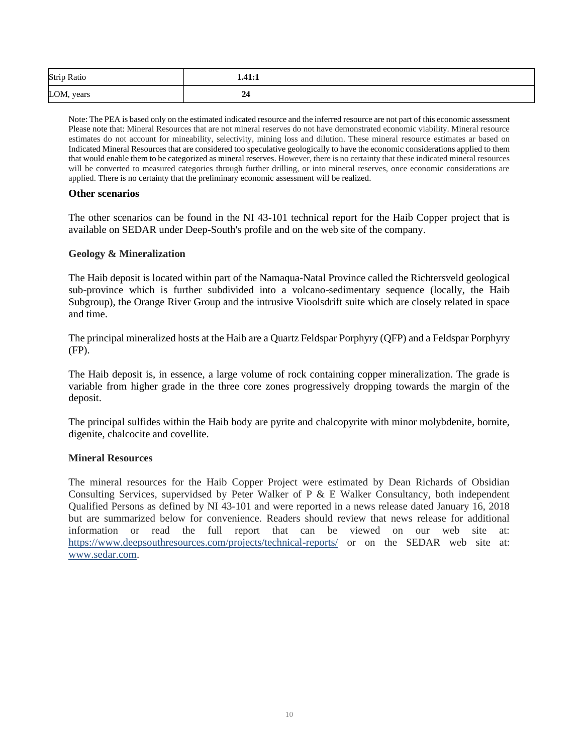| <b>Strip Ratio</b> | 1.41:1 |  |
|--------------------|--------|--|
| LOM, years         | 24     |  |

Note: The PEA is based only on the estimated indicated resource and the inferred resource are not part of this economic assessment Please note that: Mineral Resources that are not mineral reserves do not have demonstrated economic viability. Mineral resource estimates do not account for mineability, selectivity, mining loss and dilution. These mineral resource estimates ar based on Indicated Mineral Resources that are considered too speculative geologically to have the economic considerations applied to them that would enable them to be categorized as mineral reserves. However, there is no certainty that these indicated mineral resources will be converted to measured categories through further drilling, or into mineral reserves, once economic considerations are applied. There is no certainty that the preliminary economic assessment will be realized.

#### **Other scenarios**

The other scenarios can be found in the NI 43-101 technical report for the Haib Copper project that is available on SEDAR under Deep-South's profile and on the web site of the company.

## **Geology & Mineralization**

The Haib deposit is located within part of the Namaqua-Natal Province called the Richtersveld geological sub-province which is further subdivided into a volcano-sedimentary sequence (locally, the Haib Subgroup), the Orange River Group and the intrusive Vioolsdrift suite which are closely related in space and time.

The principal mineralized hosts at the Haib are a Quartz Feldspar Porphyry (QFP) and a Feldspar Porphyry (FP).

The Haib deposit is, in essence, a large volume of rock containing copper mineralization. The grade is variable from higher grade in the three core zones progressively dropping towards the margin of the deposit.

The principal sulfides within the Haib body are pyrite and chalcopyrite with minor molybdenite, bornite, digenite, chalcocite and covellite.

## **Mineral Resources**

The mineral resources for the Haib Copper Project were estimated by Dean Richards of Obsidian Consulting Services, supervidsed by Peter Walker of P & E Walker Consultancy, both independent Qualified Persons as defined by NI 43-101 and were reported in a news release dated January 16, 2018 but are summarized below for convenience. Readers should review that news release for additional information or read the full report that can be viewed on our web site at: https://www.deepsouthresources.com/projects/technical-reports/ or on the SEDAR web site at: www.sedar.com.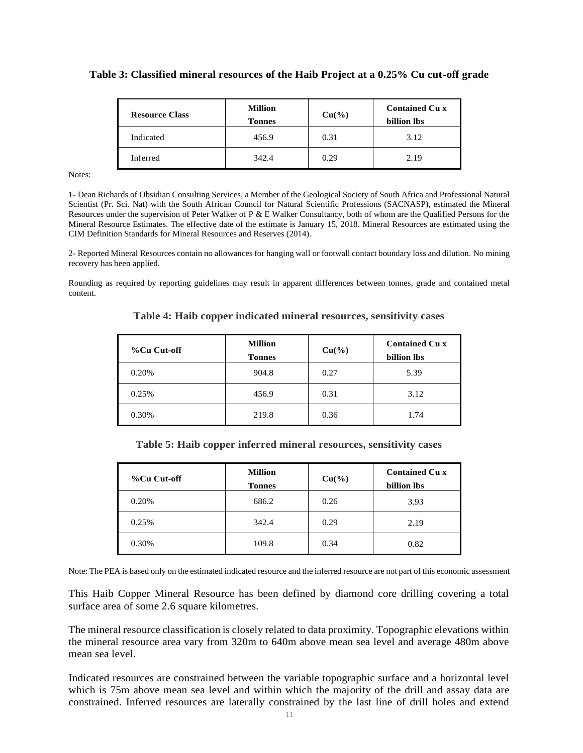#### **Table 3: Classified mineral resources of the Haib Project at a 0.25% Cu cut-off grade**

| <b>Resource Class</b> | <b>Million</b><br><b>Tonnes</b> | $Cu(^{9}/_{0})$ | <b>Contained Cu x</b><br>billion lbs |
|-----------------------|---------------------------------|-----------------|--------------------------------------|
| Indicated             | 456.9                           | 0.31            | 3.12                                 |
| Inferred              | 342.4                           | 0.29            | 2.19                                 |

Notes:

1- Dean Richards of Obsidian Consulting Services, a Member of the Geological Society of South Africa and Professional Natural Scientist (Pr. Sci. Nat) with the South African Council for Natural Scientific Professions (SACNASP), estimated the Mineral Resources under the supervision of Peter Walker of P & E Walker Consultancy, both of whom are the Qualified Persons for the Mineral Resource Estimates. The effective date of the estimate is January 15, 2018. Mineral Resources are estimated using the CIM Definition Standards for Mineral Resources and Reserves (2014).

2- Reported Mineral Resources contain no allowances for hanging wall or footwall contact boundary loss and dilution. No mining recovery has been applied.

Rounding as required by reporting guidelines may result in apparent differences between tonnes, grade and contained metal content.

| %Cu Cut-off | <b>Million</b><br><b>Tonnes</b> | $Cu(^{9}/_{0})$ | <b>Contained Cu x</b><br>billion lbs |
|-------------|---------------------------------|-----------------|--------------------------------------|
| 0.20%       | 904.8                           | 0.27            | 5.39                                 |
| 0.25%       | 456.9                           | 0.31            | 3.12                                 |
| 0.30%       | 219.8                           | 0.36            | 1.74                                 |

**Table 4: Haib copper indicated mineral resources, sensitivity cases**

| Table 5: Haib copper inferred mineral resources, sensitivity cases |  |  |  |  |  |  |  |  |
|--------------------------------------------------------------------|--|--|--|--|--|--|--|--|
|--------------------------------------------------------------------|--|--|--|--|--|--|--|--|

| %Cu Cut-off | <b>Million</b><br><b>Tonnes</b> | $Cu(^{9}/_{0})$ | <b>Contained Cu x</b><br>billion lbs |
|-------------|---------------------------------|-----------------|--------------------------------------|
| 0.20%       | 686.2                           | 0.26            | 3.93                                 |
| 0.25%       | 342.4                           | 0.29            | 2.19                                 |
| 0.30%       | 109.8                           | 0.34            | 0.82                                 |

Note: The PEA is based only on the estimated indicated resource and the inferred resource are not part of this economic assessment

This Haib Copper Mineral Resource has been defined by diamond core drilling covering a total surface area of some 2.6 square kilometres.

The mineral resource classification is closely related to data proximity. Topographic elevations within the mineral resource area vary from 320m to 640m above mean sea level and average 480m above mean sea level.

Indicated resources are constrained between the variable topographic surface and a horizontal level which is 75m above mean sea level and within which the majority of the drill and assay data are constrained. Inferred resources are laterally constrained by the last line of drill holes and extend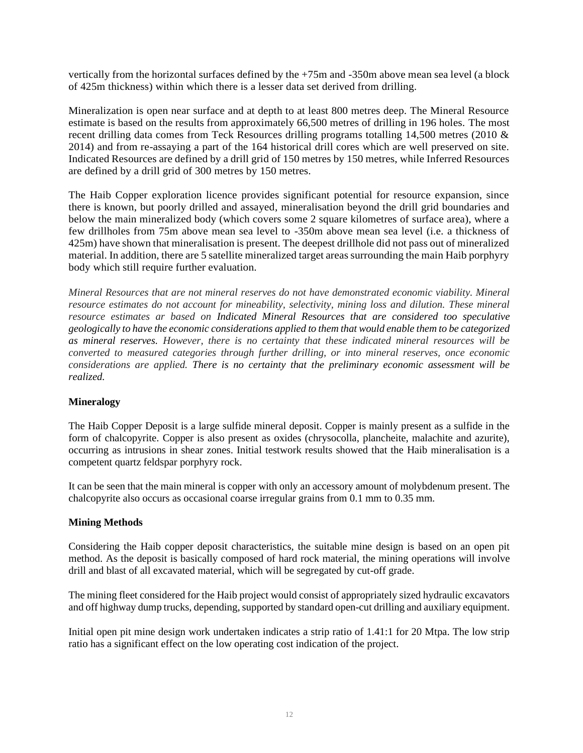vertically from the horizontal surfaces defined by the +75m and -350m above mean sea level (a block of 425m thickness) within which there is a lesser data set derived from drilling.

Mineralization is open near surface and at depth to at least 800 metres deep. The Mineral Resource estimate is based on the results from approximately 66,500 metres of drilling in 196 holes. The most recent drilling data comes from Teck Resources drilling programs totalling 14,500 metres (2010 & 2014) and from re-assaying a part of the 164 historical drill cores which are well preserved on site. Indicated Resources are defined by a drill grid of 150 metres by 150 metres, while Inferred Resources are defined by a drill grid of 300 metres by 150 metres.

The Haib Copper exploration licence provides significant potential for resource expansion, since there is known, but poorly drilled and assayed, mineralisation beyond the drill grid boundaries and below the main mineralized body (which covers some 2 square kilometres of surface area), where a few drillholes from 75m above mean sea level to -350m above mean sea level (i.e. a thickness of 425m) have shown that mineralisation is present. The deepest drillhole did not pass out of mineralized material. In addition, there are 5 satellite mineralized target areas surrounding the main Haib porphyry body which still require further evaluation.

*Mineral Resources that are not mineral reserves do not have demonstrated economic viability. Mineral resource estimates do not account for mineability, selectivity, mining loss and dilution. These mineral resource estimates ar based on Indicated Mineral Resources that are considered too speculative geologically to have the economic considerations applied to them that would enable them to be categorized as mineral reserves. However, there is no certainty that these indicated mineral resources will be converted to measured categories through further drilling, or into mineral reserves, once economic considerations are applied. There is no certainty that the preliminary economic assessment will be realized.*

## **Mineralogy**

The Haib Copper Deposit is a large sulfide mineral deposit. Copper is mainly present as a sulfide in the form of chalcopyrite. Copper is also present as oxides (chrysocolla, plancheite, malachite and azurite), occurring as intrusions in shear zones. Initial testwork results showed that the Haib mineralisation is a competent quartz feldspar porphyry rock.

It can be seen that the main mineral is copper with only an accessory amount of molybdenum present. The chalcopyrite also occurs as occasional coarse irregular grains from 0.1 mm to 0.35 mm.

## **Mining Methods**

Considering the Haib copper deposit characteristics, the suitable mine design is based on an open pit method. As the deposit is basically composed of hard rock material, the mining operations will involve drill and blast of all excavated material, which will be segregated by cut-off grade.

The mining fleet considered for the Haib project would consist of appropriately sized hydraulic excavators and off highway dump trucks, depending, supported by standard open-cut drilling and auxiliary equipment.

Initial open pit mine design work undertaken indicates a strip ratio of 1.41:1 for 20 Mtpa. The low strip ratio has a significant effect on the low operating cost indication of the project.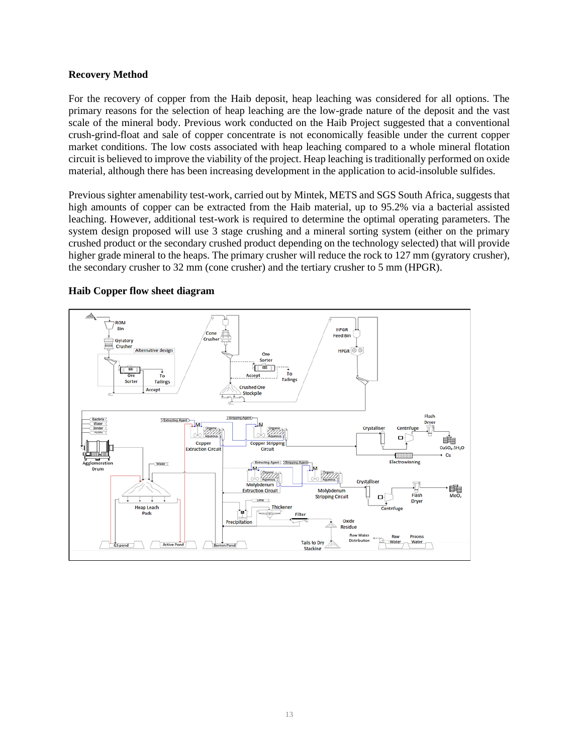#### **Recovery Method**

For the recovery of copper from the Haib deposit, heap leaching was considered for all options. The primary reasons for the selection of heap leaching are the low-grade nature of the deposit and the vast scale of the mineral body. Previous work conducted on the Haib Project suggested that a conventional crush-grind-float and sale of copper concentrate is not economically feasible under the current copper market conditions. The low costs associated with heap leaching compared to a whole mineral flotation circuit is believed to improve the viability of the project. Heap leaching is traditionally performed on oxide material, although there has been increasing development in the application to acid-insoluble sulfides.

Previous sighter amenability test-work, carried out by Mintek, METS and SGS South Africa, suggests that high amounts of copper can be extracted from the Haib material, up to 95.2% via a bacterial assisted leaching. However, additional test-work is required to determine the optimal operating parameters. The system design proposed will use 3 stage crushing and a mineral sorting system (either on the primary crushed product or the secondary crushed product depending on the technology selected) that will provide higher grade mineral to the heaps. The primary crusher will reduce the rock to 127 mm (gyratory crusher), the secondary crusher to 32 mm (cone crusher) and the tertiary crusher to 5 mm (HPGR).



#### **Haib Copper flow sheet diagram**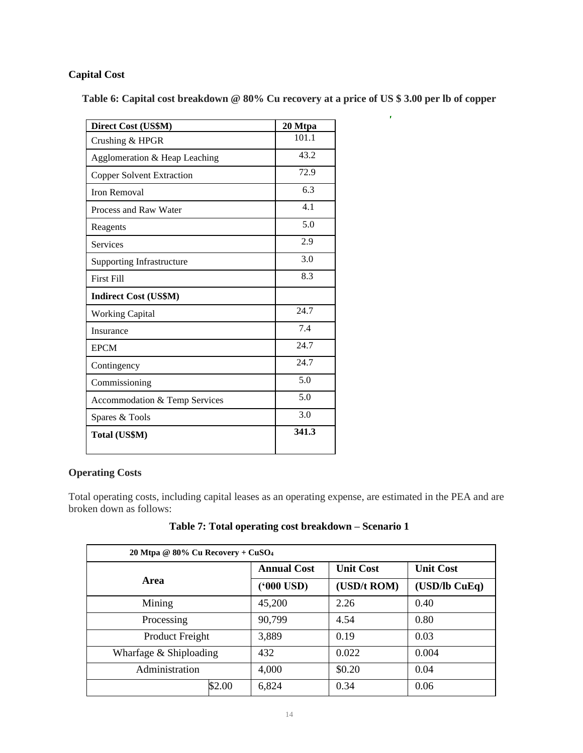# **Capital Cost**

**Table 6: Capital cost breakdown @ 80% Cu recovery at a price of US \$ 3.00 per lb of copper**

 $\hat{\mathbf{r}}$ 

| Direct Cost (US\$M)              | 20 Mtpa |
|----------------------------------|---------|
| Crushing & HPGR                  | 101.1   |
| Agglomeration & Heap Leaching    | 43.2    |
| <b>Copper Solvent Extraction</b> | 72.9    |
| <b>Iron Removal</b>              | 6.3     |
| Process and Raw Water            | 4.1     |
| Reagents                         | 5.0     |
| <b>Services</b>                  | 2.9     |
| <b>Supporting Infrastructure</b> | 3.0     |
| <b>First Fill</b>                | 8.3     |
| <b>Indirect Cost (US\$M)</b>     |         |
| <b>Working Capital</b>           | 24.7    |
| Insurance                        | 7.4     |
| <b>EPCM</b>                      | 24.7    |
| Contingency                      | 24.7    |
| Commissioning                    | 5.0     |
| Accommodation & Temp Services    | 5.0     |
| Spares & Tools                   | 3.0     |
| Total (US\$M)                    | 341.3   |

# **Operating Costs**

Total operating costs, including capital leases as an operating expense, are estimated in the PEA and are broken down as follows:

| 20 Mtpa @ 80% Cu Recovery + CuSO <sub>4</sub> |        |                     |                  |                  |  |  |
|-----------------------------------------------|--------|---------------------|------------------|------------------|--|--|
| Area                                          |        | <b>Annual Cost</b>  | <b>Unit Cost</b> | <b>Unit Cost</b> |  |  |
|                                               |        | ( <b>'000 USD</b> ) | (USD/t ROM)      | $(USD1)$ CuEq)   |  |  |
| Mining                                        |        | 45,200              | 2.26             | 0.40             |  |  |
| Processing                                    |        | 90,799              | 4.54             | 0.80             |  |  |
| Product Freight                               |        | 3,889               | 0.19             | 0.03             |  |  |
| Wharfage & Shiploading                        |        | 432                 | 0.022            | 0.004            |  |  |
| Administration                                |        | 4,000               | \$0.20           | 0.04             |  |  |
|                                               | \$2.00 | 6,824               | 0.34             | 0.06             |  |  |

# **Table 7: Total operating cost breakdown – Scenario 1**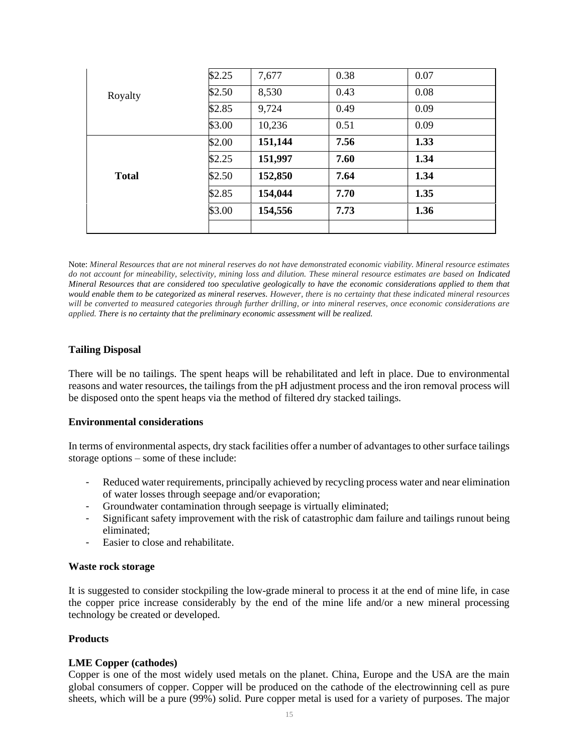|                         | \$2.25 | 7,677   | 0.38 | 0.07 |  |
|-------------------------|--------|---------|------|------|--|
| Royalty<br><b>Total</b> | \$2.50 | 8,530   | 0.43 | 0.08 |  |
|                         | \$2.85 | 9,724   | 0.49 | 0.09 |  |
|                         | \$3.00 | 10,236  | 0.51 | 0.09 |  |
|                         | \$2.00 | 151,144 | 7.56 | 1.33 |  |
|                         | \$2.25 | 151,997 | 7.60 | 1.34 |  |
|                         | \$2.50 | 152,850 | 7.64 | 1.34 |  |
|                         | \$2.85 | 154,044 | 7.70 | 1.35 |  |
|                         | \$3.00 | 154,556 | 7.73 | 1.36 |  |
|                         |        |         |      |      |  |

Note: *Mineral Resources that are not mineral reserves do not have demonstrated economic viability. Mineral resource estimates do not account for mineability, selectivity, mining loss and dilution. These mineral resource estimates are based on Indicated Mineral Resources that are considered too speculative geologically to have the economic considerations applied to them that would enable them to be categorized as mineral reserves. However, there is no certainty that these indicated mineral resources will be converted to measured categories through further drilling, or into mineral reserves, once economic considerations are applied. There is no certainty that the preliminary economic assessment will be realized.*

## **Tailing Disposal**

There will be no tailings. The spent heaps will be rehabilitated and left in place. Due to environmental reasons and water resources, the tailings from the pH adjustment process and the iron removal process will be disposed onto the spent heaps via the method of filtered dry stacked tailings.

#### **Environmental considerations**

In terms of environmental aspects, dry stack facilities offer a number of advantages to other surface tailings storage options – some of these include:

- Reduced water requirements, principally achieved by recycling process water and near elimination of water losses through seepage and/or evaporation;
- Groundwater contamination through seepage is virtually eliminated;
- Significant safety improvement with the risk of catastrophic dam failure and tailings runout being eliminated;
- Easier to close and rehabilitate.

#### **Waste rock storage**

It is suggested to consider stockpiling the low-grade mineral to process it at the end of mine life, in case the copper price increase considerably by the end of the mine life and/or a new mineral processing technology be created or developed.

## **Products**

## **LME Copper (cathodes)**

Copper is one of the most widely used metals on the planet. China, Europe and the USA are the main global consumers of copper. Copper will be produced on the cathode of the electrowinning cell as pure sheets, which will be a pure (99%) solid. Pure copper metal is used for a variety of purposes. The major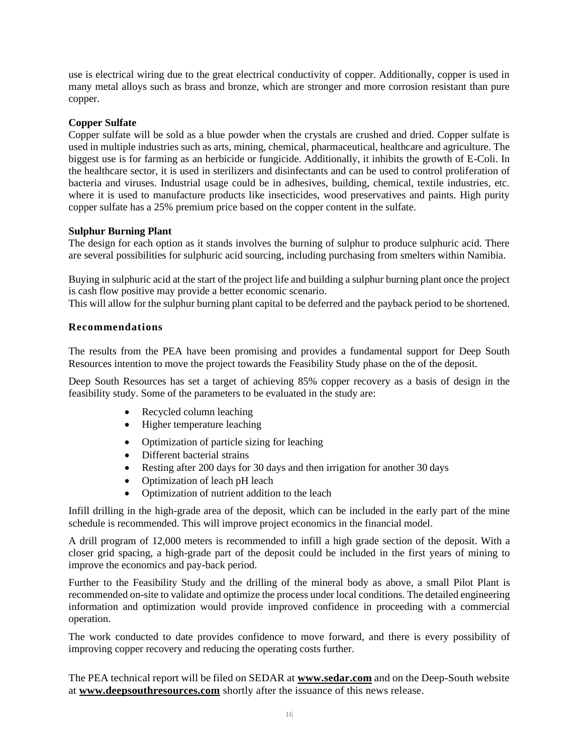use is electrical wiring due to the great electrical conductivity of copper. Additionally, copper is used in many metal alloys such as brass and bronze, which are stronger and more corrosion resistant than pure copper.

# **Copper Sulfate**

Copper sulfate will be sold as a blue powder when the crystals are crushed and dried. Copper sulfate is used in multiple industries such as arts, mining, chemical, pharmaceutical, healthcare and agriculture. The biggest use is for farming as an herbicide or fungicide. Additionally, it inhibits the growth of E-Coli. In the healthcare sector, it is used in sterilizers and disinfectants and can be used to control proliferation of bacteria and viruses. Industrial usage could be in adhesives, building, chemical, textile industries, etc. where it is used to manufacture products like insecticides, wood preservatives and paints. High purity copper sulfate has a 25% premium price based on the copper content in the sulfate.

# **Sulphur Burning Plant**

The design for each option as it stands involves the burning of sulphur to produce sulphuric acid. There are several possibilities for sulphuric acid sourcing, including purchasing from smelters within Namibia.

Buying in sulphuric acid at the start of the project life and building a sulphur burning plant once the project is cash flow positive may provide a better economic scenario.

This will allow for the sulphur burning plant capital to be deferred and the payback period to be shortened.

# **Recommendations**

The results from the PEA have been promising and provides a fundamental support for Deep South Resources intention to move the project towards the Feasibility Study phase on the of the deposit.

Deep South Resources has set a target of achieving 85% copper recovery as a basis of design in the feasibility study. Some of the parameters to be evaluated in the study are:

- Recycled column leaching
- Higher temperature leaching
- Optimization of particle sizing for leaching
- Different bacterial strains
- Resting after 200 days for 30 days and then irrigation for another 30 days
- Optimization of leach pH leach
- Optimization of nutrient addition to the leach

Infill drilling in the high-grade area of the deposit, which can be included in the early part of the mine schedule is recommended. This will improve project economics in the financial model.

A drill program of 12,000 meters is recommended to infill a high grade section of the deposit. With a closer grid spacing, a high-grade part of the deposit could be included in the first years of mining to improve the economics and pay-back period.

Further to the Feasibility Study and the drilling of the mineral body as above, a small Pilot Plant is recommended on-site to validate and optimize the process under local conditions. The detailed engineering information and optimization would provide improved confidence in proceeding with a commercial operation.

The work conducted to date provides confidence to move forward, and there is every possibility of improving copper recovery and reducing the operating costs further.

The PEA technical report will be filed on SEDAR at **[www.sedar.com](http://www.sedar.com/)** and on the Deep-South website at **[www.deepsouthresources.com](http://www.ivanhoemines.com/)** shortly after the issuance of this news release.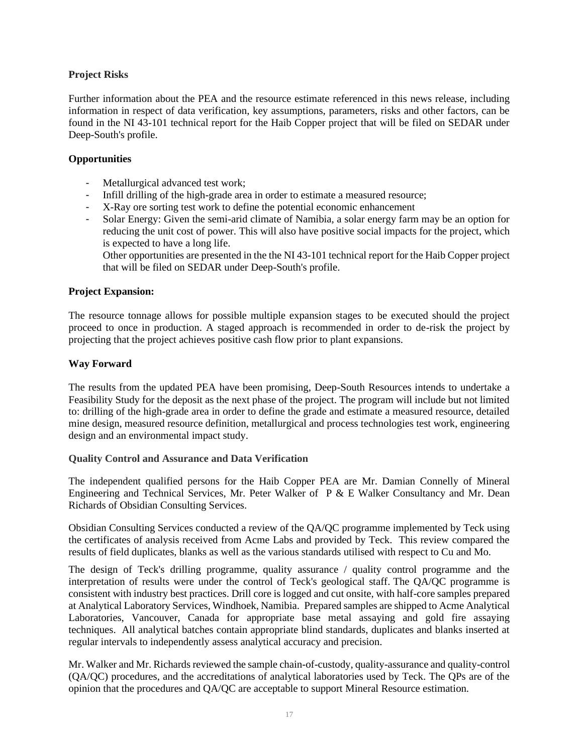# **Project Risks**

Further information about the PEA and the resource estimate referenced in this news release, including information in respect of data verification, key assumptions, parameters, risks and other factors, can be found in the NI 43-101 technical report for the Haib Copper project that will be filed on SEDAR under Deep-South's profile.

# **Opportunities**

- Metallurgical advanced test work;
- Infill drilling of the high-grade area in order to estimate a measured resource;
- X-Ray ore sorting test work to define the potential economic enhancement
- Solar Energy: Given the semi-arid climate of Namibia, a solar energy farm may be an option for reducing the unit cost of power. This will also have positive social impacts for the project, which is expected to have a long life.

Other opportunities are presented in the the NI 43-101 technical report for the Haib Copper project that will be filed on SEDAR under Deep-South's profile.

## **Project Expansion:**

The resource tonnage allows for possible multiple expansion stages to be executed should the project proceed to once in production. A staged approach is recommended in order to de-risk the project by projecting that the project achieves positive cash flow prior to plant expansions.

# **Way Forward**

The results from the updated PEA have been promising, Deep-South Resources intends to undertake a Feasibility Study for the deposit as the next phase of the project. The program will include but not limited to: drilling of the high-grade area in order to define the grade and estimate a measured resource, detailed mine design, measured resource definition, metallurgical and process technologies test work, engineering design and an environmental impact study.

## **Quality Control and Assurance and Data Verification**

The independent qualified persons for the Haib Copper PEA are Mr. Damian Connelly of Mineral Engineering and Technical Services, Mr. Peter Walker of P & E Walker Consultancy and Mr. Dean Richards of Obsidian Consulting Services.

Obsidian Consulting Services conducted a review of the QA/QC programme implemented by Teck using the certificates of analysis received from Acme Labs and provided by Teck. This review compared the results of field duplicates, blanks as well as the various standards utilised with respect to Cu and Mo.

The design of Teck's drilling programme, quality assurance / quality control programme and the interpretation of results were under the control of Teck's geological staff. The QA/QC programme is consistent with industry best practices. Drill core is logged and cut onsite, with half-core samples prepared at Analytical Laboratory Services, Windhoek, Namibia. Prepared samples are shipped to Acme Analytical Laboratories, Vancouver, Canada for appropriate base metal assaying and gold fire assaying techniques. All analytical batches contain appropriate blind standards, duplicates and blanks inserted at regular intervals to independently assess analytical accuracy and precision.

Mr. Walker and Mr. Richards reviewed the sample chain-of-custody, quality-assurance and quality-control (QA/QC) procedures, and the accreditations of analytical laboratories used by Teck. The QPs are of the opinion that the procedures and QA/QC are acceptable to support Mineral Resource estimation.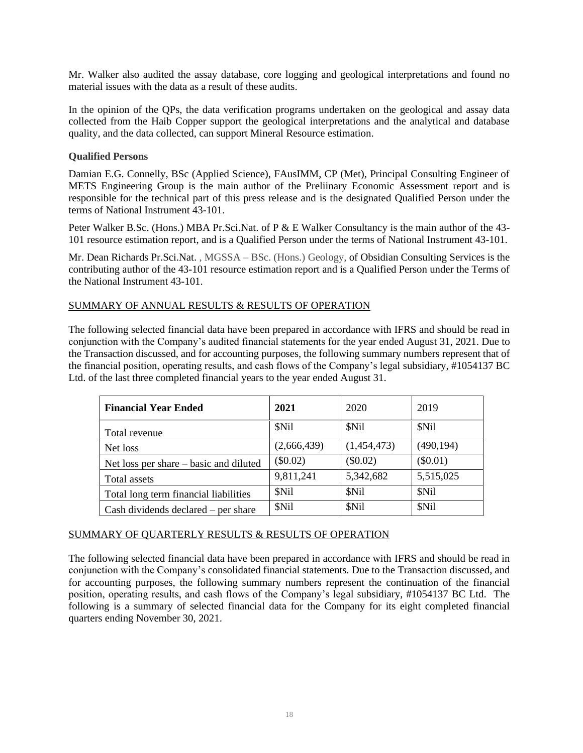Mr. Walker also audited the assay database, core logging and geological interpretations and found no material issues with the data as a result of these audits.

In the opinion of the QPs, the data verification programs undertaken on the geological and assay data collected from the Haib Copper support the geological interpretations and the analytical and database quality, and the data collected, can support Mineral Resource estimation.

#### **Qualified Persons**

Damian E.G. Connelly, BSc (Applied Science), FAusIMM, CP (Met), Principal Consulting Engineer of METS Engineering Group is the main author of the Preliinary Economic Assessment report and is responsible for the technical part of this press release and is the designated Qualified Person under the terms of National Instrument 43-101.

Peter Walker B.Sc. (Hons.) MBA Pr.Sci.Nat. of P & E Walker Consultancy is the main author of the 43-101 resource estimation report, and is a Qualified Person under the terms of National Instrument 43-101.

Mr. Dean Richards Pr.Sci.Nat. , MGSSA – BSc. (Hons.) Geology, of Obsidian Consulting Services is the contributing author of the 43-101 resource estimation report and is a Qualified Person under the Terms of the National Instrument 43-101.

## SUMMARY OF ANNUAL RESULTS & RESULTS OF OPERATION

The following selected financial data have been prepared in accordance with IFRS and should be read in conjunction with the Company's audited financial statements for the year ended August 31, 2021. Due to the Transaction discussed, and for accounting purposes, the following summary numbers represent that of the financial position, operating results, and cash flows of the Company's legal subsidiary, #1054137 BC Ltd. of the last three completed financial years to the year ended August 31.

| <b>Financial Year Ended</b>            | 2021        | 2020        | 2019       |
|----------------------------------------|-------------|-------------|------------|
| Total revenue                          | \$Nil       | \$Nil       | \$Nil      |
| Net loss                               | (2,666,439) | (1,454,473) | (490, 194) |
| Net loss per share – basic and diluted | $(\$0.02)$  | $(\$0.02)$  | $(\$0.01)$ |
| Total assets                           | 9,811,241   | 5,342,682   | 5,515,025  |
| Total long term financial liabilities  | \$Nil       | \$Nil       | \$Nil      |
| Cash dividends declared – per share    | \$Nil       | \$Nil       | \$Nil      |

#### SUMMARY OF QUARTERLY RESULTS & RESULTS OF OPERATION

The following selected financial data have been prepared in accordance with IFRS and should be read in conjunction with the Company's consolidated financial statements. Due to the Transaction discussed, and for accounting purposes, the following summary numbers represent the continuation of the financial position, operating results, and cash flows of the Company's legal subsidiary, #1054137 BC Ltd. The following is a summary of selected financial data for the Company for its eight completed financial quarters ending November 30, 2021.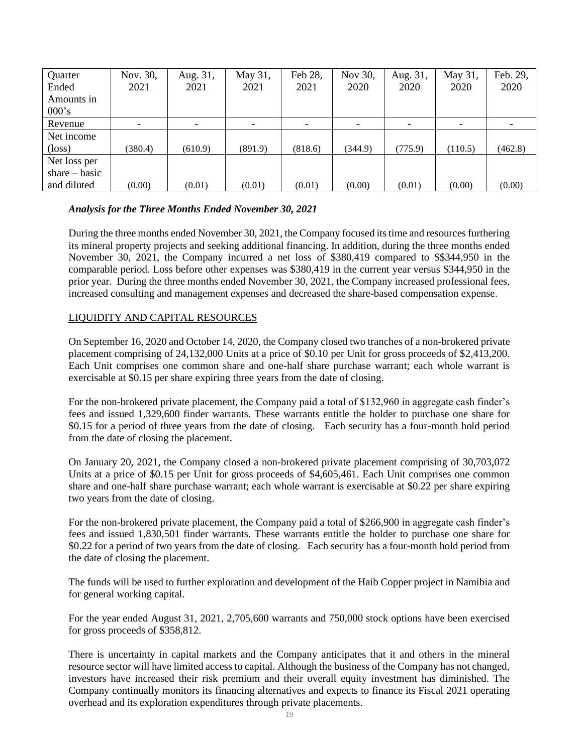| Quarter         | Nov. 30, | Aug. 31, | May 31, | Feb 28, | Nov 30, | Aug. 31, | May 31, | Feb. 29, |
|-----------------|----------|----------|---------|---------|---------|----------|---------|----------|
| Ended           | 2021     | 2021     | 2021    | 2021    | 2020    | 2020     | 2020    | 2020     |
| Amounts in      |          |          |         |         |         |          |         |          |
| 000's           |          |          |         |         |         |          |         |          |
| Revenue         |          |          |         |         |         |          |         |          |
| Net income      |          |          |         |         |         |          |         |          |
| $(\text{loss})$ | (380.4)  | (610.9)  | (891.9) | (818.6) | (344.9) | (775.9)  | (110.5) | (462.8)  |
| Net loss per    |          |          |         |         |         |          |         |          |
| share $-$ basic |          |          |         |         |         |          |         |          |
| and diluted     | (0.00)   | (0.01)   | (0.01)  | (0.01)  | (0.00)  | (0.01)   | (0.00)  | (0.00)   |

## *Analysis for the Three Months Ended November 30, 2021*

During the three months ended November 30, 2021, the Company focused its time and resources furthering its mineral property projects and seeking additional financing. In addition, during the three months ended November 30, 2021, the Company incurred a net loss of \$380,419 compared to \$\$344,950 in the comparable period. Loss before other expenses was \$380,419 in the current year versus \$344,950 in the prior year. During the three months ended November 30, 2021, the Company increased professional fees, increased consulting and management expenses and decreased the share-based compensation expense.

## LIQUIDITY AND CAPITAL RESOURCES

On September 16, 2020 and October 14, 2020, the Company closed two tranches of a non-brokered private placement comprising of 24,132,000 Units at a price of \$0.10 per Unit for gross proceeds of \$2,413,200. Each Unit comprises one common share and one-half share purchase warrant; each whole warrant is exercisable at \$0.15 per share expiring three years from the date of closing.

For the non-brokered private placement, the Company paid a total of \$132,960 in aggregate cash finder's fees and issued 1,329,600 finder warrants. These warrants entitle the holder to purchase one share for \$0.15 for a period of three years from the date of closing. Each security has a four-month hold period from the date of closing the placement.

On January 20, 2021, the Company closed a non-brokered private placement comprising of 30,703,072 Units at a price of \$0.15 per Unit for gross proceeds of \$4,605,461. Each Unit comprises one common share and one-half share purchase warrant; each whole warrant is exercisable at \$0.22 per share expiring two years from the date of closing.

For the non-brokered private placement, the Company paid a total of \$266,900 in aggregate cash finder's fees and issued 1,830,501 finder warrants. These warrants entitle the holder to purchase one share for \$0.22 for a period of two years from the date of closing. Each security has a four-month hold period from the date of closing the placement.

The funds will be used to further exploration and development of the Haib Copper project in Namibia and for general working capital.

For the year ended August 31, 2021, 2,705,600 warrants and 750,000 stock options have been exercised for gross proceeds of \$358,812.

There is uncertainty in capital markets and the Company anticipates that it and others in the mineral resource sector will have limited access to capital. Although the business of the Company has not changed, investors have increased their risk premium and their overall equity investment has diminished. The Company continually monitors its financing alternatives and expects to finance its Fiscal 2021 operating overhead and its exploration expenditures through private placements.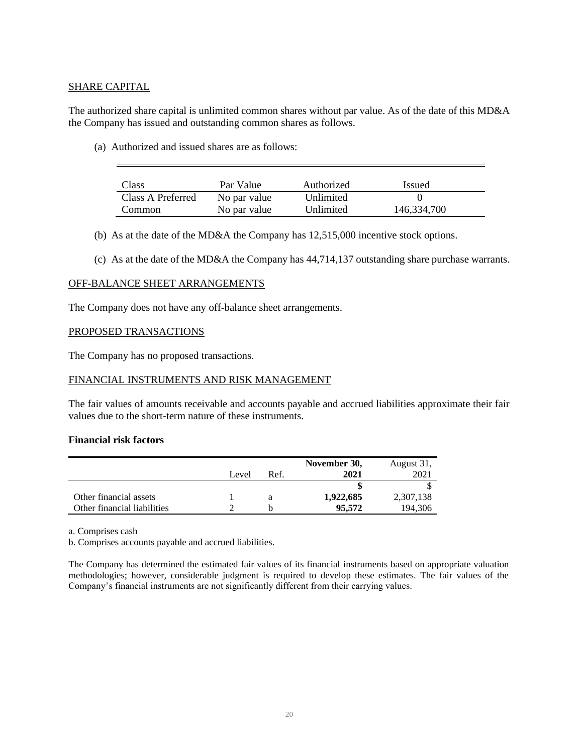# SHARE CAPITAL

The authorized share capital is unlimited common shares without par value. As of the date of this MD&A the Company has issued and outstanding common shares as follows.

(a) Authorized and issued shares are as follows:

| Class             | Par Value    | Authorized | <i>Issued</i> |
|-------------------|--------------|------------|---------------|
| Class A Preferred | No par value | Unlimited  |               |
| Common            | No par value | Unlimited  | 146,334,700   |

- (b) As at the date of the MD&A the Company has 12,515,000 incentive stock options.
- (c) As at the date of the MD&A the Company has 44,714,137 outstanding share purchase warrants.

#### OFF-BALANCE SHEET ARRANGEMENTS

The Company does not have any off-balance sheet arrangements.

#### PROPOSED TRANSACTIONS

The Company has no proposed transactions.

## FINANCIAL INSTRUMENTS AND RISK MANAGEMENT

The fair values of amounts receivable and accounts payable and accrued liabilities approximate their fair values due to the short-term nature of these instruments.

#### **Financial risk factors**

|                             |       |      | November 30, | August 31, |
|-----------------------------|-------|------|--------------|------------|
|                             | Level | Ref. | 2021         | 2021       |
|                             |       |      |              |            |
| Other financial assets      |       |      | 1,922,685    | 2,307,138  |
| Other financial liabilities |       |      | 95.572       | 194.306    |

a. Comprises cash

b. Comprises accounts payable and accrued liabilities.

The Company has determined the estimated fair values of its financial instruments based on appropriate valuation methodologies; however, considerable judgment is required to develop these estimates. The fair values of the Company's financial instruments are not significantly different from their carrying values.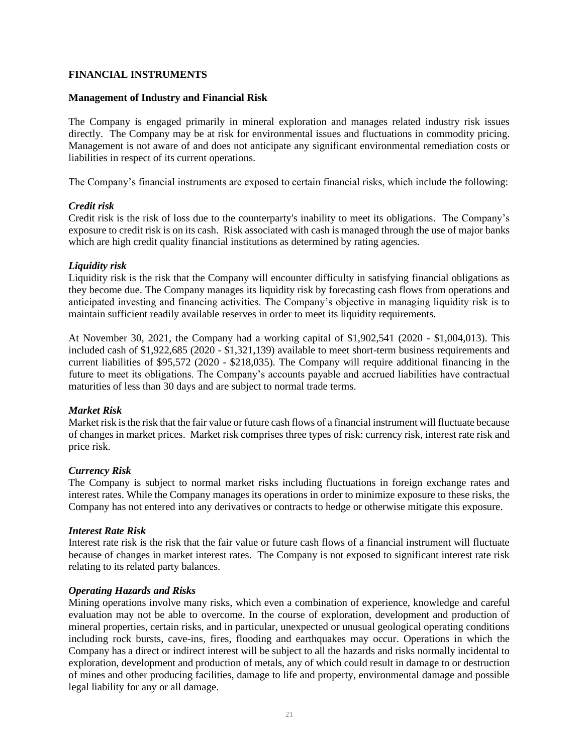#### **FINANCIAL INSTRUMENTS**

#### **Management of Industry and Financial Risk**

The Company is engaged primarily in mineral exploration and manages related industry risk issues directly. The Company may be at risk for environmental issues and fluctuations in commodity pricing. Management is not aware of and does not anticipate any significant environmental remediation costs or liabilities in respect of its current operations.

The Company's financial instruments are exposed to certain financial risks, which include the following:

#### *Credit risk*

Credit risk is the risk of loss due to the counterparty's inability to meet its obligations. The Company's exposure to credit risk is on its cash. Risk associated with cash is managed through the use of major banks which are high credit quality financial institutions as determined by rating agencies.

#### *Liquidity risk*

Liquidity risk is the risk that the Company will encounter difficulty in satisfying financial obligations as they become due. The Company manages its liquidity risk by forecasting cash flows from operations and anticipated investing and financing activities. The Company's objective in managing liquidity risk is to maintain sufficient readily available reserves in order to meet its liquidity requirements.

At November 30, 2021, the Company had a working capital of \$1,902,541 (2020 - \$1,004,013). This included cash of \$1,922,685 (2020 - \$1,321,139) available to meet short-term business requirements and current liabilities of \$95,572 (2020 - \$218,035). The Company will require additional financing in the future to meet its obligations. The Company's accounts payable and accrued liabilities have contractual maturities of less than 30 days and are subject to normal trade terms.

## *Market Risk*

Market risk is the risk that the fair value or future cash flows of a financial instrument will fluctuate because of changes in market prices. Market risk comprises three types of risk: currency risk, interest rate risk and price risk.

#### *Currency Risk*

The Company is subject to normal market risks including fluctuations in foreign exchange rates and interest rates. While the Company manages its operations in order to minimize exposure to these risks, the Company has not entered into any derivatives or contracts to hedge or otherwise mitigate this exposure.

#### *Interest Rate Risk*

Interest rate risk is the risk that the fair value or future cash flows of a financial instrument will fluctuate because of changes in market interest rates. The Company is not exposed to significant interest rate risk relating to its related party balances.

#### *Operating Hazards and Risks*

Mining operations involve many risks, which even a combination of experience, knowledge and careful evaluation may not be able to overcome. In the course of exploration, development and production of mineral properties, certain risks, and in particular, unexpected or unusual geological operating conditions including rock bursts, cave-ins, fires, flooding and earthquakes may occur. Operations in which the Company has a direct or indirect interest will be subject to all the hazards and risks normally incidental to exploration, development and production of metals, any of which could result in damage to or destruction of mines and other producing facilities, damage to life and property, environmental damage and possible legal liability for any or all damage.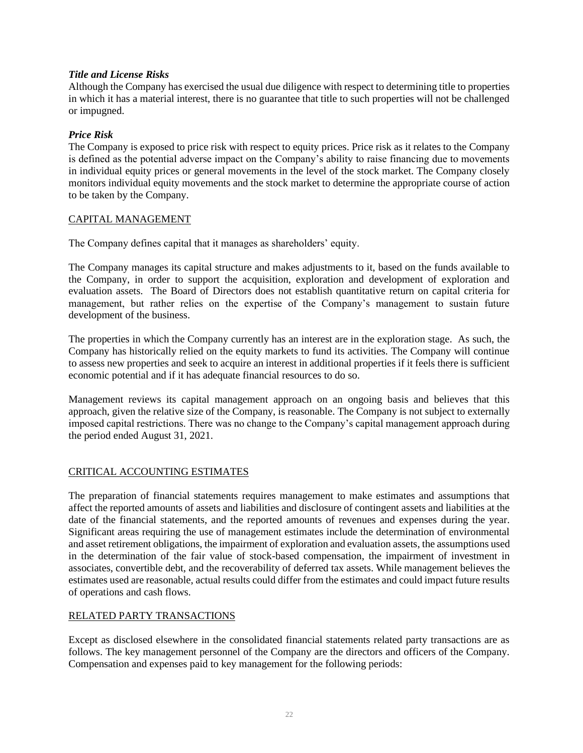# *Title and License Risks*

Although the Company has exercised the usual due diligence with respect to determining title to properties in which it has a material interest, there is no guarantee that title to such properties will not be challenged or impugned.

# *Price Risk*

The Company is exposed to price risk with respect to equity prices. Price risk as it relates to the Company is defined as the potential adverse impact on the Company's ability to raise financing due to movements in individual equity prices or general movements in the level of the stock market. The Company closely monitors individual equity movements and the stock market to determine the appropriate course of action to be taken by the Company.

## CAPITAL MANAGEMENT

The Company defines capital that it manages as shareholders' equity.

The Company manages its capital structure and makes adjustments to it, based on the funds available to the Company, in order to support the acquisition, exploration and development of exploration and evaluation assets. The Board of Directors does not establish quantitative return on capital criteria for management, but rather relies on the expertise of the Company's management to sustain future development of the business.

The properties in which the Company currently has an interest are in the exploration stage. As such, the Company has historically relied on the equity markets to fund its activities. The Company will continue to assess new properties and seek to acquire an interest in additional properties if it feels there is sufficient economic potential and if it has adequate financial resources to do so.

Management reviews its capital management approach on an ongoing basis and believes that this approach, given the relative size of the Company, is reasonable. The Company is not subject to externally imposed capital restrictions. There was no change to the Company's capital management approach during the period ended August 31, 2021.

## CRITICAL ACCOUNTING ESTIMATES

The preparation of financial statements requires management to make estimates and assumptions that affect the reported amounts of assets and liabilities and disclosure of contingent assets and liabilities at the date of the financial statements, and the reported amounts of revenues and expenses during the year. Significant areas requiring the use of management estimates include the determination of environmental and asset retirement obligations, the impairment of exploration and evaluation assets, the assumptions used in the determination of the fair value of stock-based compensation, the impairment of investment in associates, convertible debt, and the recoverability of deferred tax assets. While management believes the estimates used are reasonable, actual results could differ from the estimates and could impact future results of operations and cash flows.

## RELATED PARTY TRANSACTIONS

Except as disclosed elsewhere in the consolidated financial statements related party transactions are as follows. The key management personnel of the Company are the directors and officers of the Company. Compensation and expenses paid to key management for the following periods: